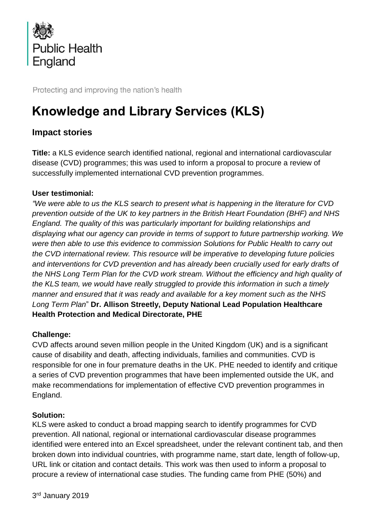

Protecting and improving the nation's health

# **Knowledge and Library Services (KLS)**

# **Impact stories**

**Title:** a KLS evidence search identified national, regional and international cardiovascular disease (CVD) programmes; this was used to inform a proposal to procure a review of successfully implemented international CVD prevention programmes.

#### **User testimonial:**

*"We were able to us the KLS search to present what is happening in the literature for CVD prevention outside of the UK to key partners in the British Heart Foundation (BHF) and NHS England. The quality of this was particularly important for building relationships and displaying what our agency can provide in terms of support to future partnership working. We were then able to use this evidence to commission Solutions for Public Health to carry out the CVD international review. This resource will be imperative to developing future policies and interventions for CVD prevention and has already been crucially used for early drafts of the NHS Long Term Plan for the CVD work stream. Without the efficiency and high quality of the KLS team, we would have really struggled to provide this information in such a timely manner and ensured that it was ready and available for a key moment such as the NHS Long Term Plan*" **Dr. Allison Streetly, Deputy National Lead Population Healthcare Health Protection and Medical Directorate, PHE**

#### **Challenge:**

CVD affects around seven million people in the United Kingdom (UK) and is a significant cause of disability and death, affecting individuals, families and communities. CVD is responsible for one in four premature deaths in the UK. PHE needed to identify and critique a series of CVD prevention programmes that have been implemented outside the UK, and make recommendations for implementation of effective CVD prevention programmes in England.

#### **Solution:**

KLS were asked to conduct a broad mapping search to identify programmes for CVD prevention. All national, regional or international cardiovascular disease programmes identified were entered into an Excel spreadsheet, under the relevant continent tab, and then broken down into individual countries, with programme name, start date, length of follow-up, URL link or citation and contact details. This work was then used to inform a proposal to procure a review of international case studies. The funding came from PHE (50%) and